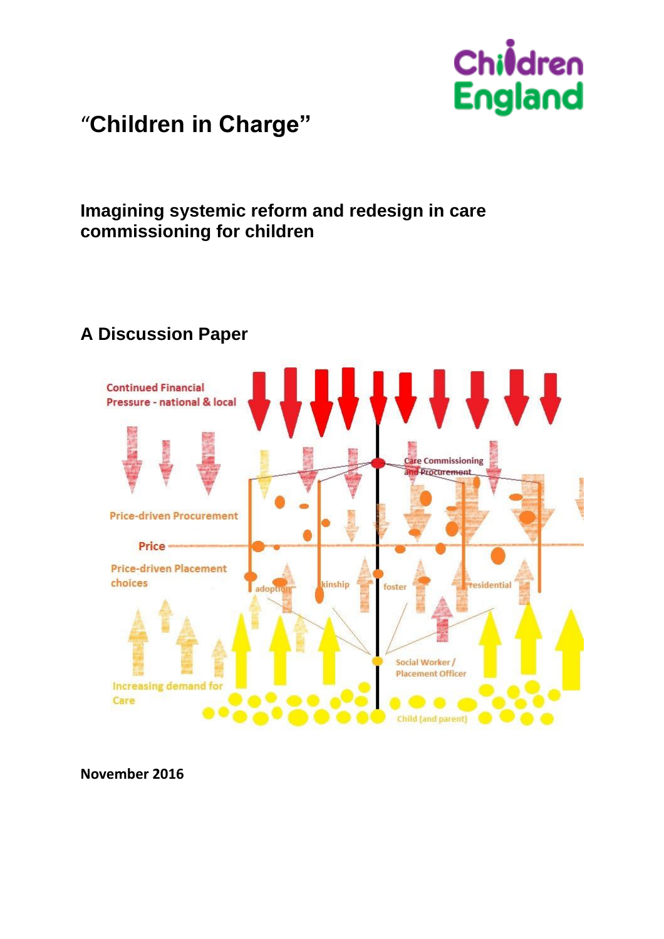

"**Children in Charge"**

# **Imagining systemic reform and redesign in care commissioning for children**

# **A Discussion Paper**



**November 2016**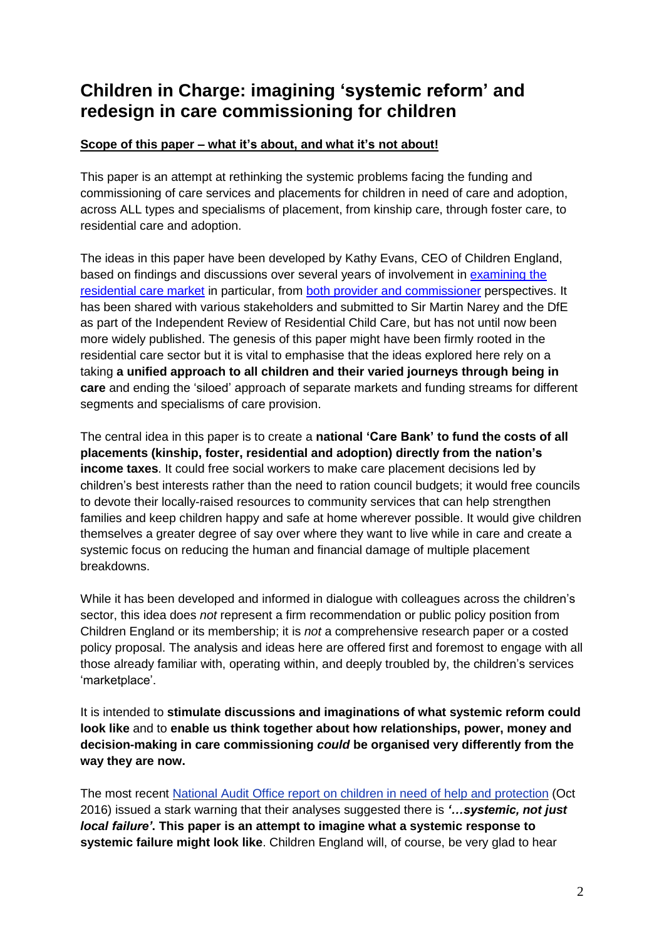## **Children in Charge: imagining 'systemic reform' and redesign in care commissioning for children**

#### **Scope of this paper – what it's about, and what it's not about!**

This paper is an attempt at rethinking the systemic problems facing the funding and commissioning of care services and placements for children in need of care and adoption, across ALL types and specialisms of placement, from kinship care, through foster care, to residential care and adoption.

The ideas in this paper have been developed by Kathy Evans, CEO of Children England, based on findings and discussions over several years of involvement in [examining](http://www.childrenengland.org.uk/wp-content/uploads/2016/05/Correcting-a-History-of-Market-Failure.pdf) the [residential](http://www.childrenengland.org.uk/wp-content/uploads/2016/05/Correcting-a-History-of-Market-Failure.pdf) care market in particular, from both provider and [commissioner](https://ipc.brookes.ac.uk/publications/DfE_Childrens_residential_care_market_report-June2015.pdf) perspectives. It has been shared with various stakeholders and submitted to Sir Martin Narey and the DfE as part of the Independent Review of Residential Child Care, but has not until now been more widely published. The genesis of this paper might have been firmly rooted in the residential care sector but it is vital to emphasise that the ideas explored here rely on a taking **a unified approach to all children and their varied journeys through being in care** and ending the 'siloed' approach of separate markets and funding streams for different segments and specialisms of care provision.

The central idea in this paper is to create a **national 'Care Bank' to fund the costs of all placements (kinship, foster, residential and adoption) directly from the nation's income taxes**. It could free social workers to make care placement decisions led by children's best interests rather than the need to ration council budgets; it would free councils to devote their locally-raised resources to community services that can help strengthen families and keep children happy and safe at home wherever possible. It would give children themselves a greater degree of say over where they want to live while in care and create a systemic focus on reducing the human and financial damage of multiple placement breakdowns.

While it has been developed and informed in dialogue with colleagues across the children's sector, this idea does *not* represent a firm recommendation or public policy position from Children England or its membership; it is *not* a comprehensive research paper or a costed policy proposal. The analysis and ideas here are offered first and foremost to engage with all those already familiar with, operating within, and deeply troubled by, the children's services 'marketplace'.

It is intended to **stimulate discussions and imaginations of what systemic reform could look like** and to **enable us think together about how relationships, power, money and decision-making in care commissioning** *could* **be organised very differently from the way they are now.**

The most recent National Audit Office report on children in need of help and [protection](https://www.nao.org.uk/report/children-in-need-of-help-or-protection/) (Oct 2016) issued a stark warning that their analyses suggested there is *'…systemic, not just local failure'***. This paper is an attempt to imagine what a systemic response to systemic failure might look like**. Children England will, of course, be very glad to hear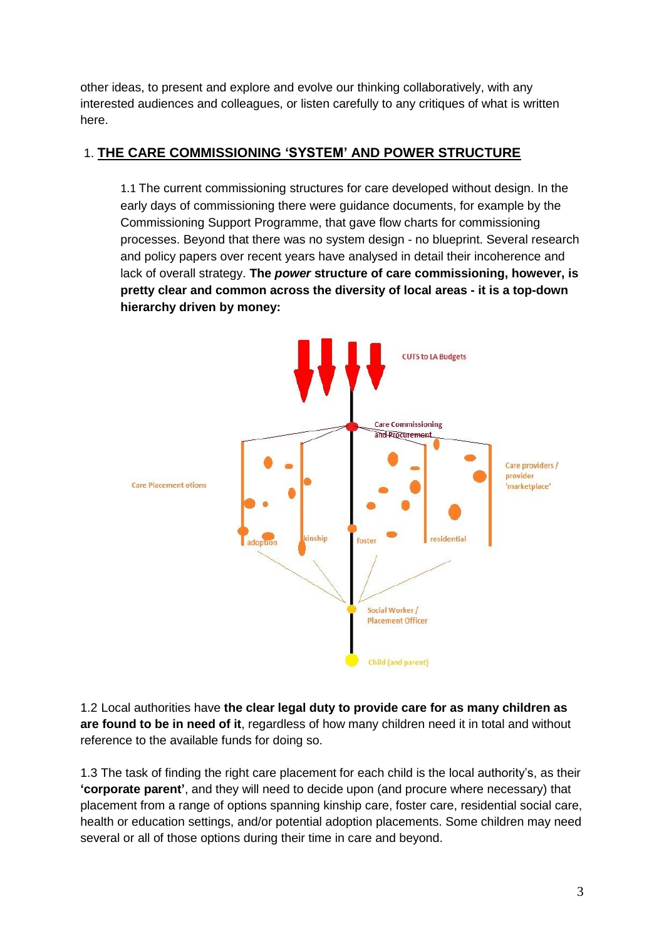other ideas, to present and explore and evolve our thinking collaboratively, with any interested audiences and colleagues, or listen carefully to any critiques of what is written here.

#### 1. **THE CARE COMMISSIONING 'SYSTEM' AND POWER STRUCTURE**

1.1 The current commissioning structures for care developed without design. In the early days of commissioning there were guidance documents, for example by the Commissioning Support Programme, that gave flow charts for commissioning processes. Beyond that there was no system design - no blueprint. Several research and policy papers over recent years have analysed in detail their incoherence and lack of overall strategy. **The** *power* **structure of care commissioning, however, is pretty clear and common across the diversity of local areas - it is a top-down hierarchy driven by money:**



1.2 Local authorities have **the clear legal duty to provide care for as many children as are found to be in need of it**, regardless of how many children need it in total and without reference to the available funds for doing so.

1.3 The task of finding the right care placement for each child is the local authority's, as their **'corporate parent'**, and they will need to decide upon (and procure where necessary) that placement from a range of options spanning kinship care, foster care, residential social care, health or education settings, and/or potential adoption placements. Some children may need several or all of those options during their time in care and beyond.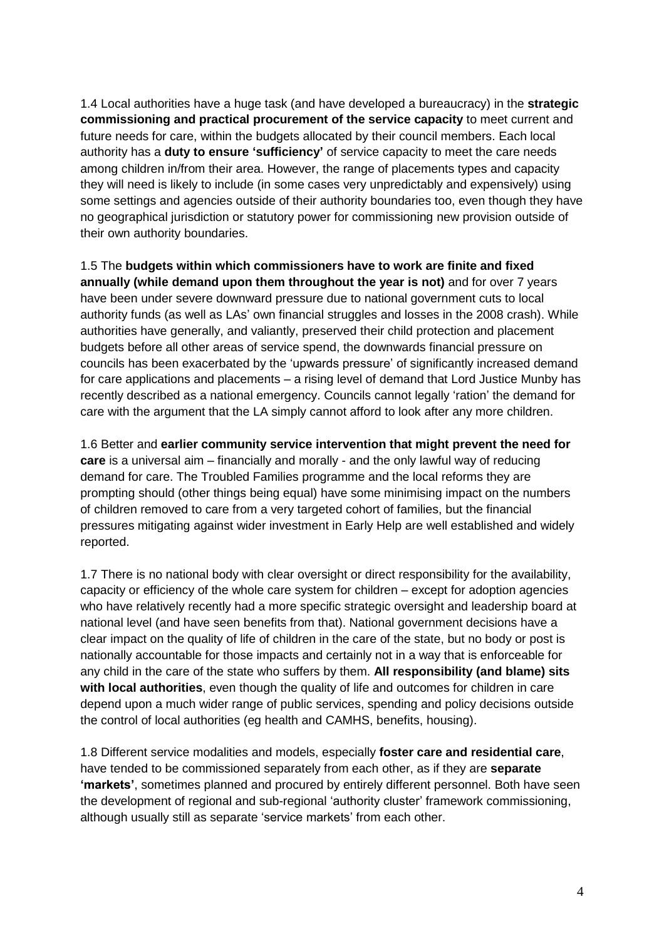1.4 Local authorities have a huge task (and have developed a bureaucracy) in the **strategic commissioning and practical procurement of the service capacity** to meet current and future needs for care, within the budgets allocated by their council members. Each local authority has a **duty to ensure 'sufficiency'** of service capacity to meet the care needs among children in/from their area. However, the range of placements types and capacity they will need is likely to include (in some cases very unpredictably and expensively) using some settings and agencies outside of their authority boundaries too, even though they have no geographical jurisdiction or statutory power for commissioning new provision outside of their own authority boundaries.

1.5 The **budgets within which commissioners have to work are finite and fixed annually (while demand upon them throughout the year is not)** and for over 7 years have been under severe downward pressure due to national government cuts to local authority funds (as well as LAs' own financial struggles and losses in the 2008 crash). While authorities have generally, and valiantly, preserved their child protection and placement budgets before all other areas of service spend, the downwards financial pressure on councils has been exacerbated by the 'upwards pressure' of significantly increased demand for care applications and placements – a rising level of demand that Lord Justice Munby has recently described as a national emergency. Councils cannot legally 'ration' the demand for care with the argument that the LA simply cannot afford to look after any more children.

1.6 Better and **earlier community service intervention that might prevent the need for care** is a universal aim – financially and morally - and the only lawful way of reducing demand for care. The Troubled Families programme and the local reforms they are prompting should (other things being equal) have some minimising impact on the numbers of children removed to care from a very targeted cohort of families, but the financial pressures mitigating against wider investment in Early Help are well established and widely reported.

1.7 There is no national body with clear oversight or direct responsibility for the availability, capacity or efficiency of the whole care system for children – except for adoption agencies who have relatively recently had a more specific strategic oversight and leadership board at national level (and have seen benefits from that). National government decisions have a clear impact on the quality of life of children in the care of the state, but no body or post is nationally accountable for those impacts and certainly not in a way that is enforceable for any child in the care of the state who suffers by them. **All responsibility (and blame) sits with local authorities**, even though the quality of life and outcomes for children in care depend upon a much wider range of public services, spending and policy decisions outside the control of local authorities (eg health and CAMHS, benefits, housing).

1.8 Different service modalities and models, especially **foster care and residential care**, have tended to be commissioned separately from each other, as if they are **separate 'markets'**, sometimes planned and procured by entirely different personnel. Both have seen the development of regional and sub-regional 'authority cluster' framework commissioning, although usually still as separate 'service markets' from each other.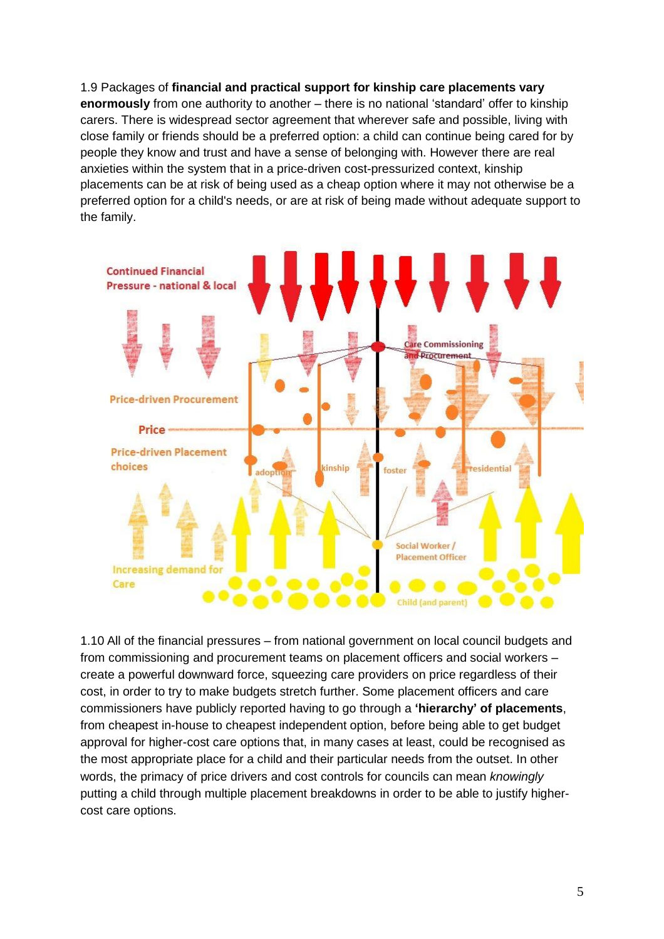1.9 Packages of **financial and practical support for kinship care placements vary enormously** from one authority to another – there is no national 'standard' offer to kinship carers. There is widespread sector agreement that wherever safe and possible, living with close family or friends should be a preferred option: a child can continue being cared for by people they know and trust and have a sense of belonging with. However there are real anxieties within the system that in a price-driven cost-pressurized context, kinship placements can be at risk of being used as a cheap option where it may not otherwise be a preferred option for a child's needs, or are at risk of being made without adequate support to the family.



1.10 All of the financial pressures – from national government on local council budgets and from commissioning and procurement teams on placement officers and social workers – create a powerful downward force, squeezing care providers on price regardless of their cost, in order to try to make budgets stretch further. Some placement officers and care commissioners have publicly reported having to go through a **'hierarchy' of placements**, from cheapest in-house to cheapest independent option, before being able to get budget approval for higher-cost care options that, in many cases at least, could be recognised as the most appropriate place for a child and their particular needs from the outset. In other words, the primacy of price drivers and cost controls for councils can mean *knowingly* putting a child through multiple placement breakdowns in order to be able to justify highercost care options.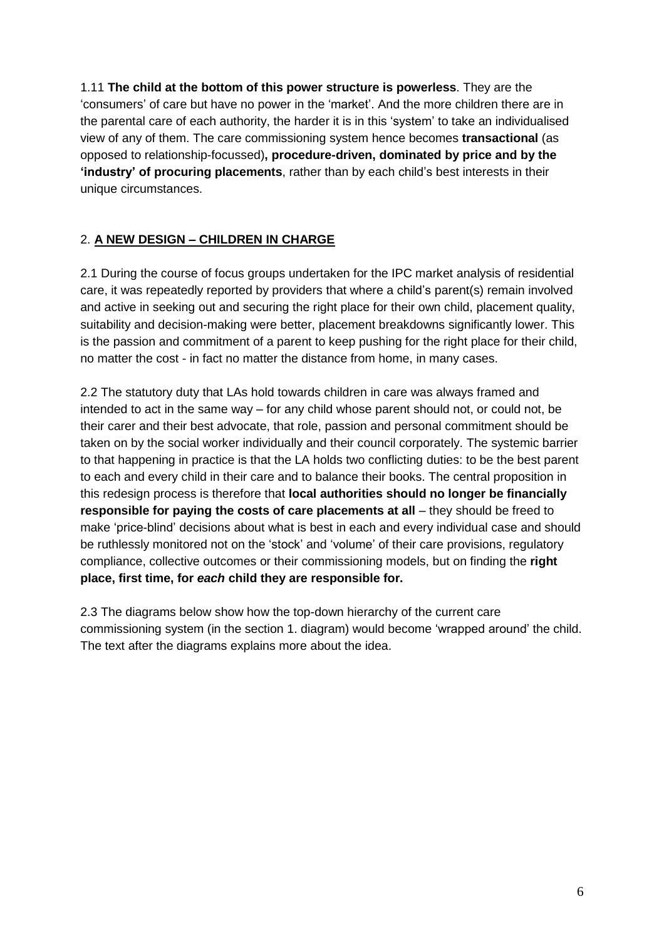1.11 **The child at the bottom of this power structure is powerless**. They are the 'consumers' of care but have no power in the 'market'. And the more children there are in the parental care of each authority, the harder it is in this 'system' to take an individualised view of any of them. The care commissioning system hence becomes **transactional** (as opposed to relationship-focussed)**, procedure-driven, dominated by price and by the 'industry' of procuring placements**, rather than by each child's best interests in their unique circumstances.

## 2. **A NEW DESIGN – CHILDREN IN CHARGE**

2.1 During the course of focus groups undertaken for the IPC market analysis of residential care, it was repeatedly reported by providers that where a child's parent(s) remain involved and active in seeking out and securing the right place for their own child, placement quality, suitability and decision-making were better, placement breakdowns significantly lower. This is the passion and commitment of a parent to keep pushing for the right place for their child, no matter the cost - in fact no matter the distance from home, in many cases.

2.2 The statutory duty that LAs hold towards children in care was always framed and intended to act in the same way – for any child whose parent should not, or could not, be their carer and their best advocate, that role, passion and personal commitment should be taken on by the social worker individually and their council corporately. The systemic barrier to that happening in practice is that the LA holds two conflicting duties: to be the best parent to each and every child in their care and to balance their books. The central proposition in this redesign process is therefore that **local authorities should no longer be financially responsible for paying the costs of care placements at all** – they should be freed to make 'price-blind' decisions about what is best in each and every individual case and should be ruthlessly monitored not on the 'stock' and 'volume' of their care provisions, regulatory compliance, collective outcomes or their commissioning models, but on finding the **right place, first time, for** *each* **child they are responsible for.**

2.3 The diagrams below show how the top-down hierarchy of the current care commissioning system (in the section 1. diagram) would become 'wrapped around' the child. The text after the diagrams explains more about the idea.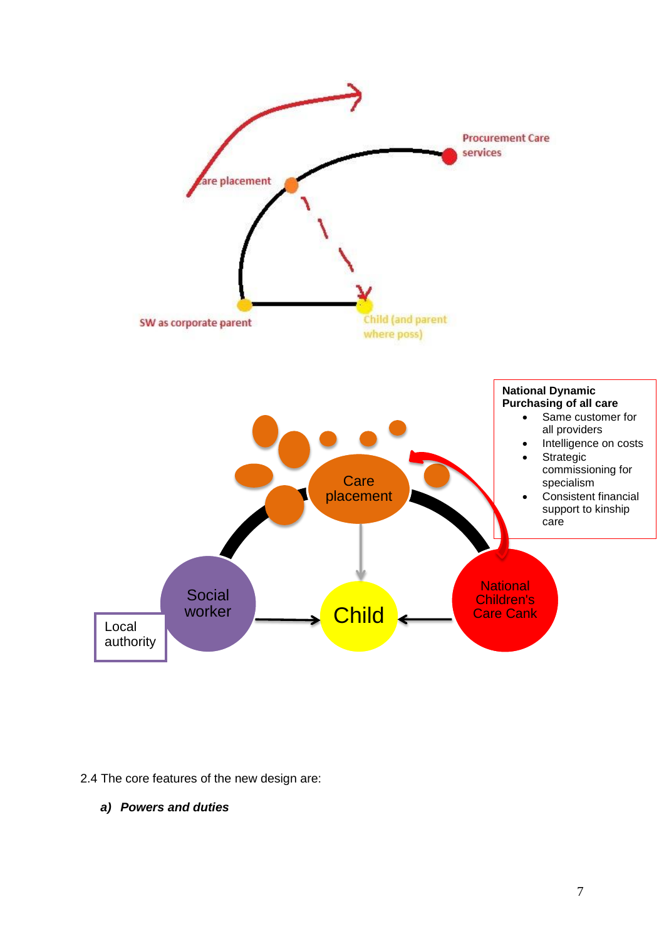

2.4 The core features of the new design are:

*a) Powers and duties*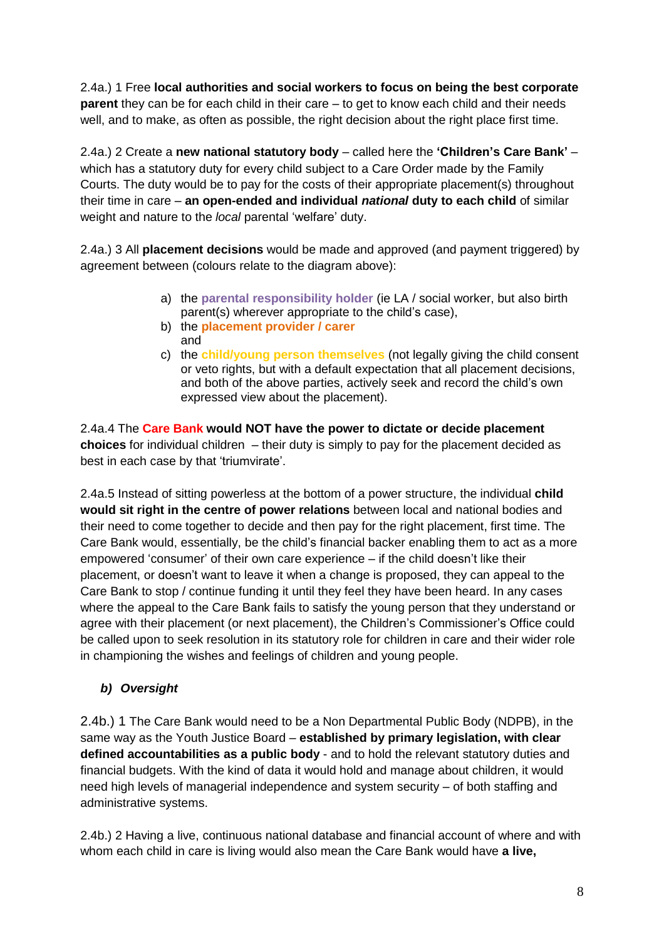2.4a.) 1 Free **local authorities and social workers to focus on being the best corporate parent** they can be for each child in their care – to get to know each child and their needs well, and to make, as often as possible, the right decision about the right place first time.

2.4a.) 2 Create a **new national statutory body** – called here the **'Children's Care Bank'** – which has a statutory duty for every child subject to a Care Order made by the Family Courts. The duty would be to pay for the costs of their appropriate placement(s) throughout their time in care – **an open-ended and individual** *national* **duty to each child** of similar weight and nature to the *local* parental 'welfare' duty.

2.4a.) 3 All **placement decisions** would be made and approved (and payment triggered) by agreement between (colours relate to the diagram above):

- a) the **parental responsibility holder** (ie LA / social worker, but also birth parent(s) wherever appropriate to the child's case),
- b) the **placement provider / carer** and
- c) the **child/young person themselves** (not legally giving the child consent or veto rights, but with a default expectation that all placement decisions, and both of the above parties, actively seek and record the child's own expressed view about the placement).

2.4a.4 The **Care Bank would NOT have the power to dictate or decide placement choices** for individual children – their duty is simply to pay for the placement decided as best in each case by that 'triumvirate'.

2.4a.5 Instead of sitting powerless at the bottom of a power structure, the individual **child would sit right in the centre of power relations** between local and national bodies and their need to come together to decide and then pay for the right placement, first time. The Care Bank would, essentially, be the child's financial backer enabling them to act as a more empowered 'consumer' of their own care experience – if the child doesn't like their placement, or doesn't want to leave it when a change is proposed, they can appeal to the Care Bank to stop / continue funding it until they feel they have been heard. In any cases where the appeal to the Care Bank fails to satisfy the young person that they understand or agree with their placement (or next placement), the Children's Commissioner's Office could be called upon to seek resolution in its statutory role for children in care and their wider role in championing the wishes and feelings of children and young people.

### *b) Oversight*

2.4b.) 1 The Care Bank would need to be a Non Departmental Public Body (NDPB), in the same way as the Youth Justice Board – **established by primary legislation, with clear defined accountabilities as a public body** - and to hold the relevant statutory duties and financial budgets. With the kind of data it would hold and manage about children, it would need high levels of managerial independence and system security – of both staffing and administrative systems.

2.4b.) 2 Having a live, continuous national database and financial account of where and with whom each child in care is living would also mean the Care Bank would have **a live,**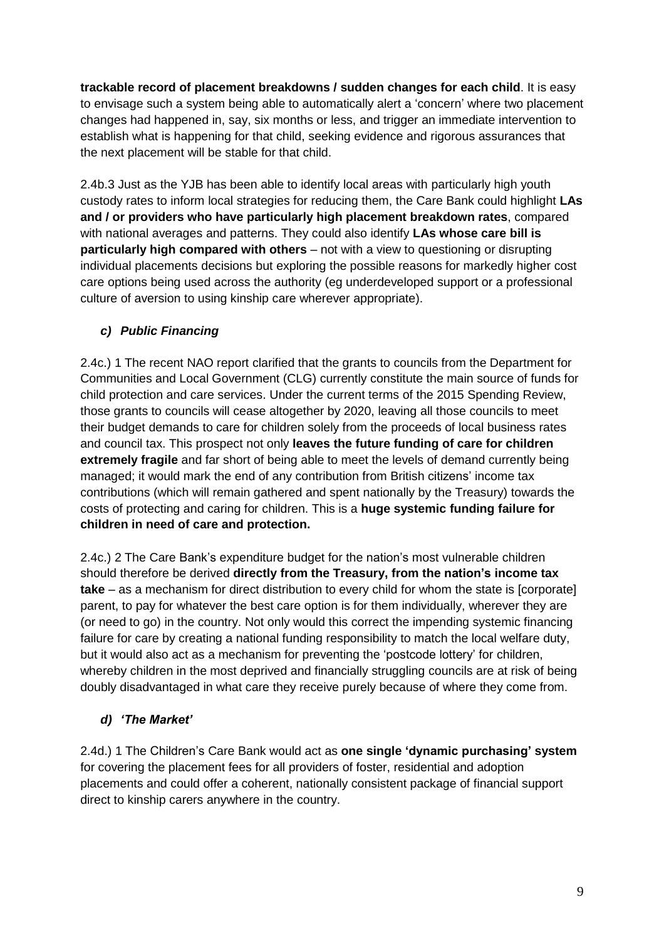**trackable record of placement breakdowns / sudden changes for each child**. It is easy to envisage such a system being able to automatically alert a 'concern' where two placement changes had happened in, say, six months or less, and trigger an immediate intervention to establish what is happening for that child, seeking evidence and rigorous assurances that the next placement will be stable for that child.

2.4b.3 Just as the YJB has been able to identify local areas with particularly high youth custody rates to inform local strategies for reducing them, the Care Bank could highlight **LAs and / or providers who have particularly high placement breakdown rates**, compared with national averages and patterns. They could also identify **LAs whose care bill is particularly high compared with others** – not with a view to questioning or disrupting individual placements decisions but exploring the possible reasons for markedly higher cost care options being used across the authority (eg underdeveloped support or a professional culture of aversion to using kinship care wherever appropriate).

### *c) Public Financing*

2.4c.) 1 The recent NAO report clarified that the grants to councils from the Department for Communities and Local Government (CLG) currently constitute the main source of funds for child protection and care services. Under the current terms of the 2015 Spending Review, those grants to councils will cease altogether by 2020, leaving all those councils to meet their budget demands to care for children solely from the proceeds of local business rates and council tax. This prospect not only **leaves the future funding of care for children extremely fragile** and far short of being able to meet the levels of demand currently being managed; it would mark the end of any contribution from British citizens' income tax contributions (which will remain gathered and spent nationally by the Treasury) towards the costs of protecting and caring for children. This is a **huge systemic funding failure for children in need of care and protection.**

2.4c.) 2 The Care Bank's expenditure budget for the nation's most vulnerable children should therefore be derived **directly from the Treasury, from the nation's income tax take** – as a mechanism for direct distribution to every child for whom the state is [corporate] parent, to pay for whatever the best care option is for them individually, wherever they are (or need to go) in the country. Not only would this correct the impending systemic financing failure for care by creating a national funding responsibility to match the local welfare duty, but it would also act as a mechanism for preventing the 'postcode lottery' for children, whereby children in the most deprived and financially struggling councils are at risk of being doubly disadvantaged in what care they receive purely because of where they come from.

### *d) 'The Market'*

2.4d.) 1 The Children's Care Bank would act as **one single 'dynamic purchasing' system** for covering the placement fees for all providers of foster, residential and adoption placements and could offer a coherent, nationally consistent package of financial support direct to kinship carers anywhere in the country.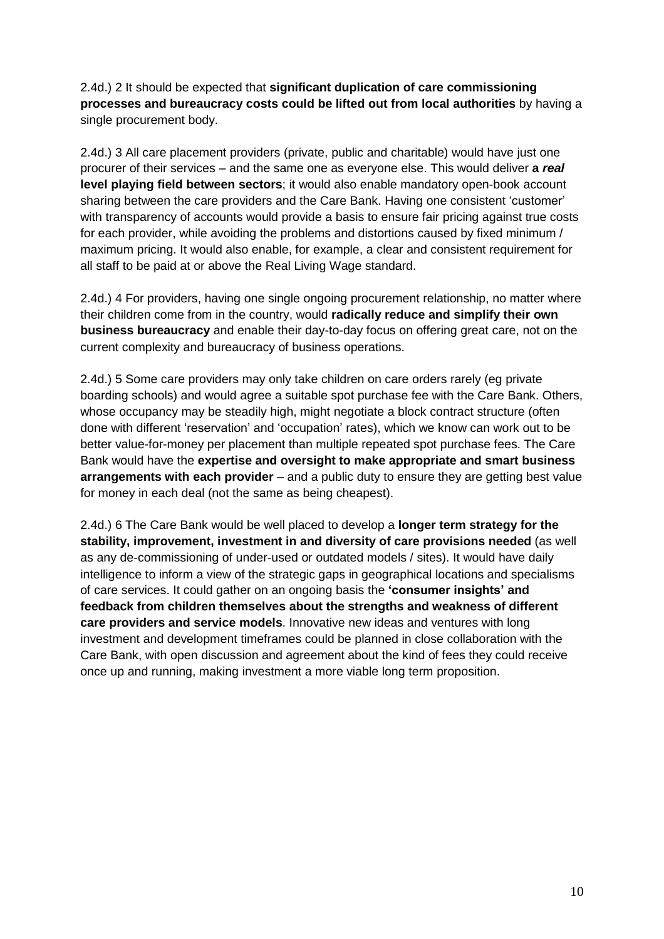2.4d.) 2 It should be expected that **significant duplication of care commissioning processes and bureaucracy costs could be lifted out from local authorities** by having a single procurement body.

2.4d.) 3 All care placement providers (private, public and charitable) would have just one procurer of their services – and the same one as everyone else. This would deliver **a** *real* **level playing field between sectors**; it would also enable mandatory open-book account sharing between the care providers and the Care Bank. Having one consistent 'customer' with transparency of accounts would provide a basis to ensure fair pricing against true costs for each provider, while avoiding the problems and distortions caused by fixed minimum / maximum pricing. It would also enable, for example, a clear and consistent requirement for all staff to be paid at or above the Real Living Wage standard.

2.4d.) 4 For providers, having one single ongoing procurement relationship, no matter where their children come from in the country, would **radically reduce and simplify their own business bureaucracy** and enable their day-to-day focus on offering great care, not on the current complexity and bureaucracy of business operations.

2.4d.) 5 Some care providers may only take children on care orders rarely (eg private boarding schools) and would agree a suitable spot purchase fee with the Care Bank. Others, whose occupancy may be steadily high, might negotiate a block contract structure (often done with different 'reservation' and 'occupation' rates), which we know can work out to be better value-for-money per placement than multiple repeated spot purchase fees. The Care Bank would have the **expertise and oversight to make appropriate and smart business arrangements with each provider** – and a public duty to ensure they are getting best value for money in each deal (not the same as being cheapest).

2.4d.) 6 The Care Bank would be well placed to develop a **longer term strategy for the stability, improvement, investment in and diversity of care provisions needed** (as well as any de-commissioning of under-used or outdated models / sites). It would have daily intelligence to inform a view of the strategic gaps in geographical locations and specialisms of care services. It could gather on an ongoing basis the **'consumer insights' and feedback from children themselves about the strengths and weakness of different care providers and service models**. Innovative new ideas and ventures with long investment and development timeframes could be planned in close collaboration with the Care Bank, with open discussion and agreement about the kind of fees they could receive once up and running, making investment a more viable long term proposition.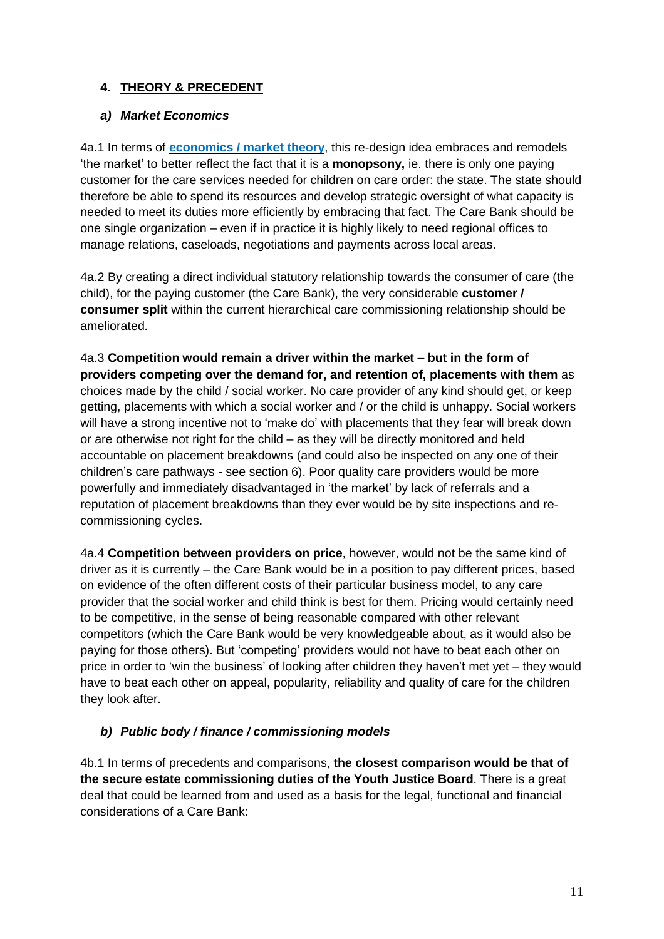## **4. THEORY & PRECEDENT**

#### *a) Market Economics*

4a.1 In terms of **[economics](https://www.childrenengland.org.uk/correcting-a-history-of-market-failure) / market theory**, this re-design idea embraces and remodels 'the market' to better reflect the fact that it is a **monopsony,** ie. there is only one paying customer for the care services needed for children on care order: the state. The state should therefore be able to spend its resources and develop strategic oversight of what capacity is needed to meet its duties more efficiently by embracing that fact. The Care Bank should be one single organization – even if in practice it is highly likely to need regional offices to manage relations, caseloads, negotiations and payments across local areas.

4a.2 By creating a direct individual statutory relationship towards the consumer of care (the child), for the paying customer (the Care Bank), the very considerable **customer / consumer split** within the current hierarchical care commissioning relationship should be ameliorated.

4a.3 **Competition would remain a driver within the market – but in the form of providers competing over the demand for, and retention of, placements with them** as choices made by the child / social worker. No care provider of any kind should get, or keep getting, placements with which a social worker and / or the child is unhappy. Social workers will have a strong incentive not to 'make do' with placements that they fear will break down or are otherwise not right for the child – as they will be directly monitored and held accountable on placement breakdowns (and could also be inspected on any one of their children's care pathways - see section 6). Poor quality care providers would be more powerfully and immediately disadvantaged in 'the market' by lack of referrals and a reputation of placement breakdowns than they ever would be by site inspections and recommissioning cycles.

4a.4 **Competition between providers on price**, however, would not be the same kind of driver as it is currently – the Care Bank would be in a position to pay different prices, based on evidence of the often different costs of their particular business model, to any care provider that the social worker and child think is best for them. Pricing would certainly need to be competitive, in the sense of being reasonable compared with other relevant competitors (which the Care Bank would be very knowledgeable about, as it would also be paying for those others). But 'competing' providers would not have to beat each other on price in order to 'win the business' of looking after children they haven't met yet – they would have to beat each other on appeal, popularity, reliability and quality of care for the children they look after.

#### *b) Public body / finance / commissioning models*

4b.1 In terms of precedents and comparisons, **the closest comparison would be that of the secure estate commissioning duties of the Youth Justice Board**. There is a great deal that could be learned from and used as a basis for the legal, functional and financial considerations of a Care Bank: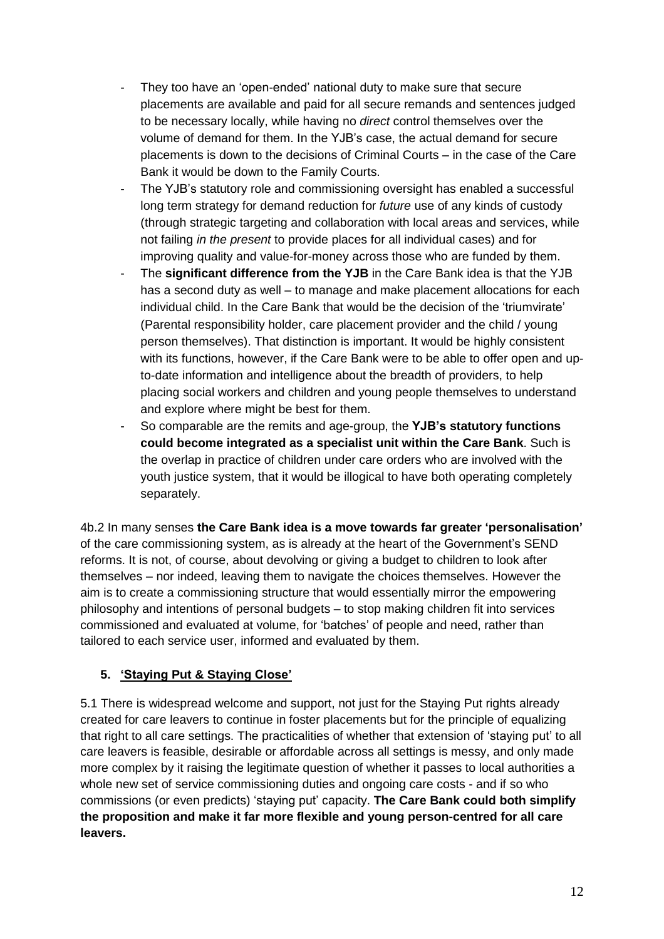- They too have an 'open-ended' national duty to make sure that secure placements are available and paid for all secure remands and sentences judged to be necessary locally, while having no *direct* control themselves over the volume of demand for them. In the YJB's case, the actual demand for secure placements is down to the decisions of Criminal Courts – in the case of the Care Bank it would be down to the Family Courts.
- The YJB's statutory role and commissioning oversight has enabled a successful long term strategy for demand reduction for *future* use of any kinds of custody (through strategic targeting and collaboration with local areas and services, while not failing *in the present* to provide places for all individual cases) and for improving quality and value-for-money across those who are funded by them.
- The **significant difference from the YJB** in the Care Bank idea is that the YJB has a second duty as well – to manage and make placement allocations for each individual child. In the Care Bank that would be the decision of the 'triumvirate' (Parental responsibility holder, care placement provider and the child / young person themselves). That distinction is important. It would be highly consistent with its functions, however, if the Care Bank were to be able to offer open and upto-date information and intelligence about the breadth of providers, to help placing social workers and children and young people themselves to understand and explore where might be best for them.
- So comparable are the remits and age-group, the **YJB's statutory functions could become integrated as a specialist unit within the Care Bank**. Such is the overlap in practice of children under care orders who are involved with the youth justice system, that it would be illogical to have both operating completely separately.

4b.2 In many senses **the Care Bank idea is a move towards far greater 'personalisation'** of the care commissioning system, as is already at the heart of the Government's SEND reforms. It is not, of course, about devolving or giving a budget to children to look after themselves – nor indeed, leaving them to navigate the choices themselves. However the aim is to create a commissioning structure that would essentially mirror the empowering philosophy and intentions of personal budgets – to stop making children fit into services commissioned and evaluated at volume, for 'batches' of people and need, rather than tailored to each service user, informed and evaluated by them.

### **5. 'Staying Put & Staying Close'**

5.1 There is widespread welcome and support, not just for the Staying Put rights already created for care leavers to continue in foster placements but for the principle of equalizing that right to all care settings. The practicalities of whether that extension of 'staying put' to all care leavers is feasible, desirable or affordable across all settings is messy, and only made more complex by it raising the legitimate question of whether it passes to local authorities a whole new set of service commissioning duties and ongoing care costs - and if so who commissions (or even predicts) 'staying put' capacity. **The Care Bank could both simplify the proposition and make it far more flexible and young person-centred for all care leavers.**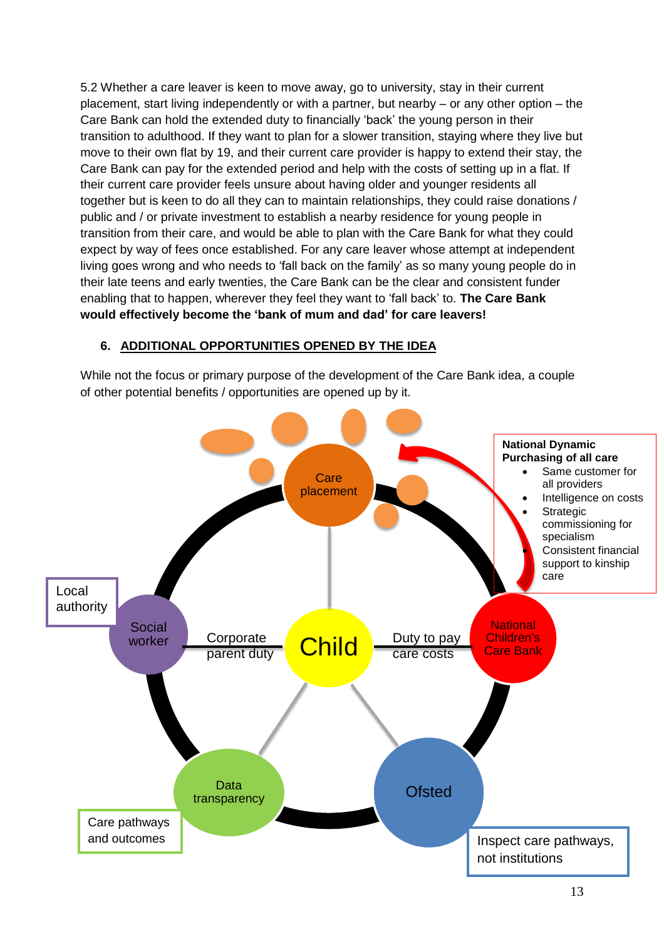5.2 Whether a care leaver is keen to move away, go to university, stay in their current placement, start living independently or with a partner, but nearby – or any other option – the Care Bank can hold the extended duty to financially 'back' the young person in their transition to adulthood. If they want to plan for a slower transition, staying where they live but move to their own flat by 19, and their current care provider is happy to extend their stay, the Care Bank can pay for the extended period and help with the costs of setting up in a flat. If their current care provider feels unsure about having older and younger residents all together but is keen to do all they can to maintain relationships, they could raise donations / public and / or private investment to establish a nearby residence for young people in transition from their care, and would be able to plan with the Care Bank for what they could expect by way of fees once established. For any care leaver whose attempt at independent living goes wrong and who needs to 'fall back on the family' as so many young people do in their late teens and early twenties, the Care Bank can be the clear and consistent funder enabling that to happen, wherever they feel they want to 'fall back' to. **The Care Bank would effectively become the 'bank of mum and dad' for care leavers!**

#### **6. ADDITIONAL OPPORTUNITIES OPENED BY THE IDEA**

While not the focus or primary purpose of the development of the Care Bank idea, a couple of other potential benefits / opportunities are opened up by it.

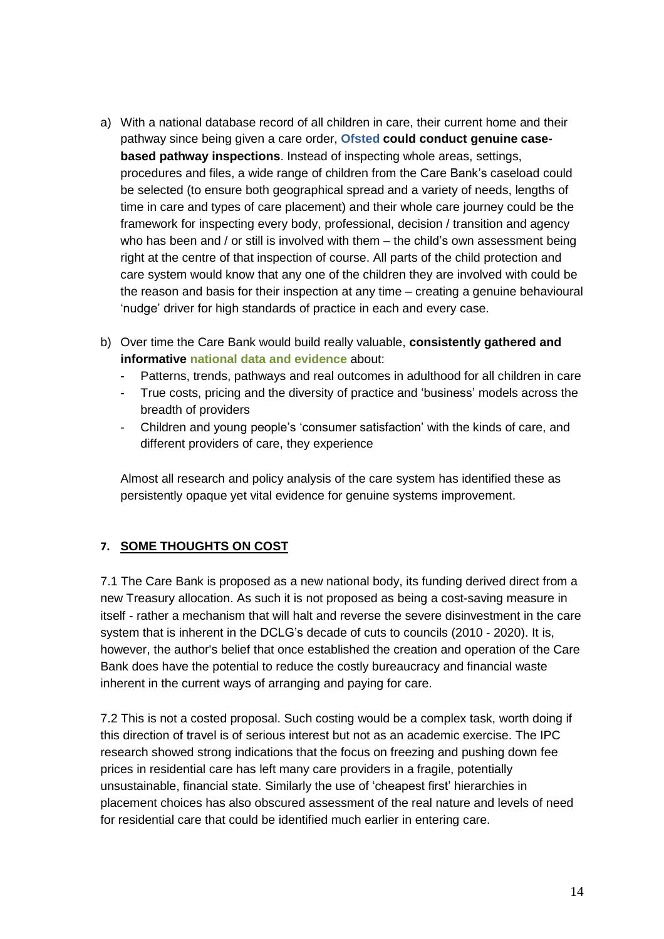- a) With a national database record of all children in care, their current home and their pathway since being given a care order, **Ofsted could conduct genuine casebased pathway inspections**. Instead of inspecting whole areas, settings, procedures and files, a wide range of children from the Care Bank's caseload could be selected (to ensure both geographical spread and a variety of needs, lengths of time in care and types of care placement) and their whole care journey could be the framework for inspecting every body, professional, decision / transition and agency who has been and / or still is involved with them – the child's own assessment being right at the centre of that inspection of course. All parts of the child protection and care system would know that any one of the children they are involved with could be the reason and basis for their inspection at any time – creating a genuine behavioural 'nudge' driver for high standards of practice in each and every case.
- b) Over time the Care Bank would build really valuable, **consistently gathered and informative national data and evidence** about:
	- Patterns, trends, pathways and real outcomes in adulthood for all children in care
	- True costs, pricing and the diversity of practice and 'business' models across the breadth of providers
	- Children and young people's 'consumer satisfaction' with the kinds of care, and different providers of care, they experience

Almost all research and policy analysis of the care system has identified these as persistently opaque yet vital evidence for genuine systems improvement.

#### **7. SOME THOUGHTS ON COST**

7.1 The Care Bank is proposed as a new national body, its funding derived direct from a new Treasury allocation. As such it is not proposed as being a cost-saving measure in itself - rather a mechanism that will halt and reverse the severe disinvestment in the care system that is inherent in the DCLG's decade of cuts to councils (2010 - 2020). It is, however, the author's belief that once established the creation and operation of the Care Bank does have the potential to reduce the costly bureaucracy and financial waste inherent in the current ways of arranging and paying for care.

7.2 This is not a costed proposal. Such costing would be a complex task, worth doing if this direction of travel is of serious interest but not as an academic exercise. The IPC research showed strong indications that the focus on freezing and pushing down fee prices in residential care has left many care providers in a fragile, potentially unsustainable, financial state. Similarly the use of 'cheapest first' hierarchies in placement choices has also obscured assessment of the real nature and levels of need for residential care that could be identified much earlier in entering care.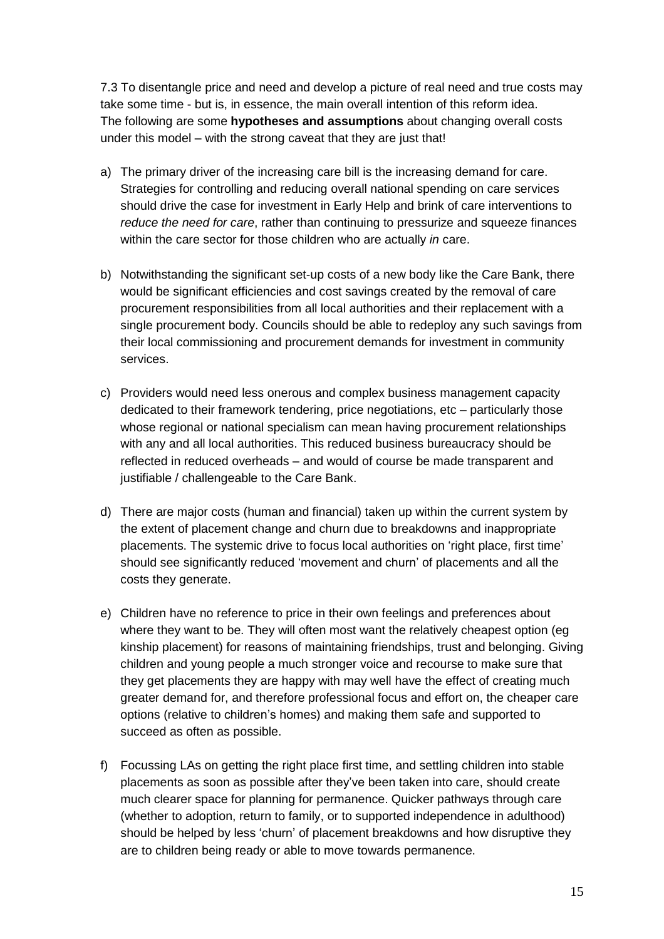7.3 To disentangle price and need and develop a picture of real need and true costs may take some time - but is, in essence, the main overall intention of this reform idea. The following are some **hypotheses and assumptions** about changing overall costs under this model – with the strong caveat that they are just that!

- a) The primary driver of the increasing care bill is the increasing demand for care. Strategies for controlling and reducing overall national spending on care services should drive the case for investment in Early Help and brink of care interventions to *reduce the need for care*, rather than continuing to pressurize and squeeze finances within the care sector for those children who are actually *in* care.
- b) Notwithstanding the significant set-up costs of a new body like the Care Bank, there would be significant efficiencies and cost savings created by the removal of care procurement responsibilities from all local authorities and their replacement with a single procurement body. Councils should be able to redeploy any such savings from their local commissioning and procurement demands for investment in community services.
- c) Providers would need less onerous and complex business management capacity dedicated to their framework tendering, price negotiations, etc – particularly those whose regional or national specialism can mean having procurement relationships with any and all local authorities. This reduced business bureaucracy should be reflected in reduced overheads – and would of course be made transparent and justifiable / challengeable to the Care Bank.
- d) There are major costs (human and financial) taken up within the current system by the extent of placement change and churn due to breakdowns and inappropriate placements. The systemic drive to focus local authorities on 'right place, first time' should see significantly reduced 'movement and churn' of placements and all the costs they generate.
- e) Children have no reference to price in their own feelings and preferences about where they want to be. They will often most want the relatively cheapest option (eg kinship placement) for reasons of maintaining friendships, trust and belonging. Giving children and young people a much stronger voice and recourse to make sure that they get placements they are happy with may well have the effect of creating much greater demand for, and therefore professional focus and effort on, the cheaper care options (relative to children's homes) and making them safe and supported to succeed as often as possible.
- f) Focussing LAs on getting the right place first time, and settling children into stable placements as soon as possible after they've been taken into care, should create much clearer space for planning for permanence. Quicker pathways through care (whether to adoption, return to family, or to supported independence in adulthood) should be helped by less 'churn' of placement breakdowns and how disruptive they are to children being ready or able to move towards permanence.